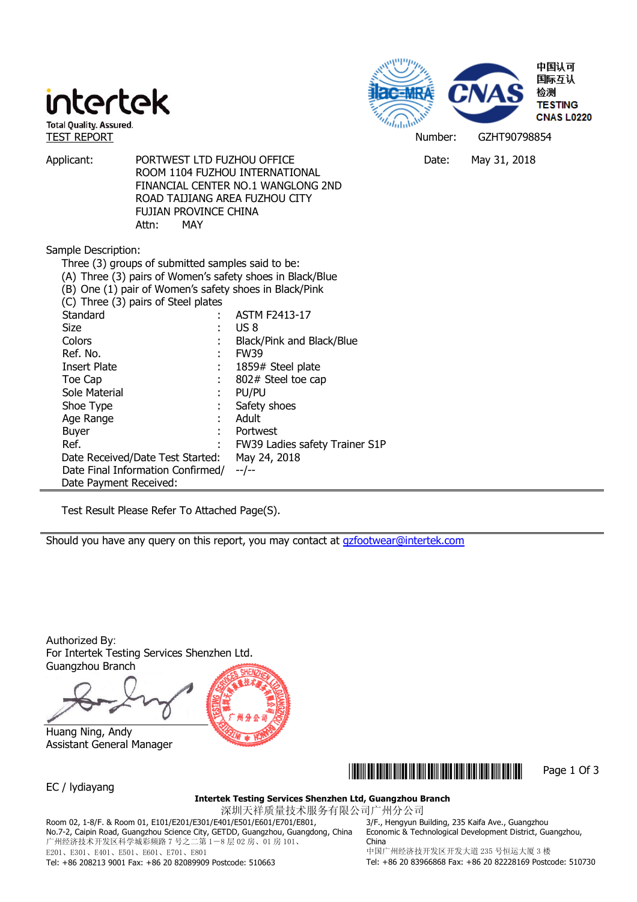# intertek



Applicant: PORTWEST LTD FUZHOU OFFICE THE DATE: May 31, 2018 ROOM 1104 FUZHOU INTERNATIONAL FINANCIAL CENTER NO.1 WANGLONG 2ND ROAD TAIJIANG AREA FUZHOU CITY FUJIAN PROVINCE CHINA Attn: MAY

Sample Description:

| inpic Description.                                        |       |                                |  |  |  |
|-----------------------------------------------------------|-------|--------------------------------|--|--|--|
| Three (3) groups of submitted samples said to be:         |       |                                |  |  |  |
| (A) Three (3) pairs of Women's safety shoes in Black/Blue |       |                                |  |  |  |
| (B) One (1) pair of Women's safety shoes in Black/Pink    |       |                                |  |  |  |
| (C) Three (3) pairs of Steel plates                       |       |                                |  |  |  |
| Standard                                                  |       | <b>ASTM F2413-17</b>           |  |  |  |
| Size                                                      |       | US 8                           |  |  |  |
| Colors                                                    |       | Black/Pink and Black/Blue      |  |  |  |
| Ref. No.                                                  |       | <b>FW39</b>                    |  |  |  |
| Insert Plate                                              |       | 1859# Steel plate              |  |  |  |
| Toe Cap                                                   |       | 802# Steel toe cap             |  |  |  |
| Sole Material                                             |       | PU/PU                          |  |  |  |
| Shoe Type                                                 |       | Safety shoes                   |  |  |  |
| Age Range                                                 | ÷     | Adult                          |  |  |  |
| <b>Buyer</b>                                              | ٠     | Portwest                       |  |  |  |
| Ref.                                                      |       | FW39 Ladies safety Trainer S1P |  |  |  |
| Date Received/Date Test Started:                          |       | May 24, 2018                   |  |  |  |
| Date Final Information Confirmed/                         | --/-- |                                |  |  |  |
| Date Payment Received:                                    |       |                                |  |  |  |

Test Result Please Refer To Attached Page(S).

Should you have any query on this report, you may contact at gzfootwear@intertek.com

Authorized By: For Intertek Testing Services Shenzhen Ltd. Guangzhou Branch

 Huang Ning, Andy Assistant General Manager



EC / lydiayang

### \*GZHT90798854\* Page 1 Of 3

### **Intertek Testing Services Shenzhen Ltd, Guangzhou Branch**

深圳天祥质量技术服务有限公司广州分公司

Room 02, 1-8/F. & Room 01, E101/E201/E301/E401/E501/E601/E701/E801, No.7-2, Caipin Road, Guangzhou Science City, GETDD, Guangzhou, Guangdong, China 广州经济技术开发区科学城彩频路 7 号之二第 1-8 层 02 房、01 房 101、 E201、E301、E401、E501、E601、E701、E801

3/F., Hengyun Building, 235 Kaifa Ave., Guangzhou Economic & Technological Development District, Guangzhou, China

中国广州经济技开发区开发大道 235 号恒运大厦 3 楼 Tel: +86 20 83966868 Fax: +86 20 82228169 Postcode: 510730

Tel: +86 208213 9001 Fax: +86 20 82089909 Postcode: 510663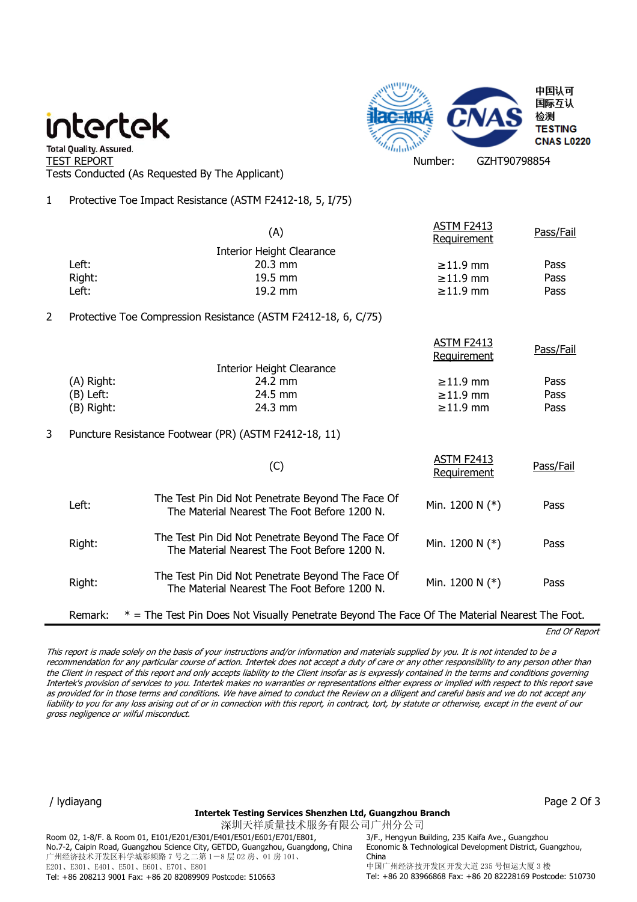## intertek



" Total Quality. Assured.<br>TEST REPORT Number: GZHT90798854 Tests Conducted (As Requested By The Applicant)

1 Protective Toe Impact Resistance (ASTM F2412-18, 5, I/75)

|   |                                  | (A)                                                                                               | <b>ASTM F2413</b><br>Requirement | Pass/Fail |  |  |
|---|----------------------------------|---------------------------------------------------------------------------------------------------|----------------------------------|-----------|--|--|
|   | <b>Interior Height Clearance</b> |                                                                                                   |                                  |           |  |  |
|   | Left:                            | 20.3 mm                                                                                           | $\geq 11.9$ mm                   | Pass      |  |  |
|   | Right:                           | 19.5 mm                                                                                           | $\geq 11.9$ mm                   | Pass      |  |  |
|   | Left:                            | 19.2 mm                                                                                           | $\geq 11.9$ mm                   | Pass      |  |  |
| 2 |                                  | Protective Toe Compression Resistance (ASTM F2412-18, 6, C/75)                                    |                                  |           |  |  |
|   |                                  |                                                                                                   | <b>ASTM F2413</b><br>Requirement | Pass/Fail |  |  |
|   |                                  | <b>Interior Height Clearance</b>                                                                  |                                  |           |  |  |
|   | (A) Right:                       | 24.2 mm                                                                                           | $\geq 11.9$ mm                   | Pass      |  |  |
|   | $(B)$ Left:                      | 24.5 mm                                                                                           | $\geq 11.9$ mm                   | Pass      |  |  |
|   | (B) Right:                       | 24.3 mm                                                                                           | $\geq 11.9$ mm                   | Pass      |  |  |
| 3 |                                  | Puncture Resistance Footwear (PR) (ASTM F2412-18, 11)                                             |                                  |           |  |  |
|   |                                  | (C)                                                                                               | ASTM F2413<br>Requirement        | Pass/Fail |  |  |
|   | Left:                            | The Test Pin Did Not Penetrate Beyond The Face Of<br>The Material Nearest The Foot Before 1200 N. | Min. 1200 N (*)                  | Pass      |  |  |
|   | Right:                           | The Test Pin Did Not Penetrate Beyond The Face Of<br>The Material Nearest The Foot Before 1200 N. | Min. 1200 N $(*)$                | Pass      |  |  |
|   | Right:                           | The Test Pin Did Not Penetrate Beyond The Face Of<br>The Material Nearest The Foot Before 1200 N. | Min. 1200 N (*)                  | Pass      |  |  |
|   | Remark:                          | $*$ = The Test Pin Does Not Visually Penetrate Beyond The Face Of The Material Nearest The Foot.  |                                  |           |  |  |

End Of Report

This report is made solely on the basis of your instructions and/or information and materials supplied by you. It is not intended to be a recommendation for any particular course of action. Intertek does not accept a duty of care or any other responsibility to any person other than the Client in respect of this report and only accepts liability to the Client insofar as is expressly contained in the terms and conditions governing Intertek's provision of services to you. Intertek makes no warranties or representations either express or implied with respect to this report save as provided for in those terms and conditions. We have aimed to conduct the Review on a diligent and careful basis and we do not accept any liability to you for any loss arising out of or in connection with this report, in contract, tort, by statute or otherwise, except in the event of our gross negligence or wilful misconduct.

#### **Intertek Testing Services Shenzhen Ltd, Guangzhou Branch**

深圳天祥质量技术服务有限公司广州分公司 Room 02, 1-8/F. & Room 01, E101/E201/E301/E401/E501/E601/E701/E801, No.7-2, Caipin Road, Guangzhou Science City, GETDD, Guangzhou, Guangdong, China 广州经济技术开发区科学城彩频路 7 号之二第 1-8 层 02 房、01 房 101、 E201、E301、E401、E501、E601、E701、E801 Tel: +86 208213 9001 Fax: +86 20 82089909 Postcode: 510663

/ lydiayang Page 2 Of 3

3/F., Hengyun Building, 235 Kaifa Ave., Guangzhou Economic & Technological Development District, Guangzhou, China 中国广州经济技开发区开发大道 235 号恒运大厦 3 楼 Tel: +86 20 83966868 Fax: +86 20 82228169 Postcode: 510730